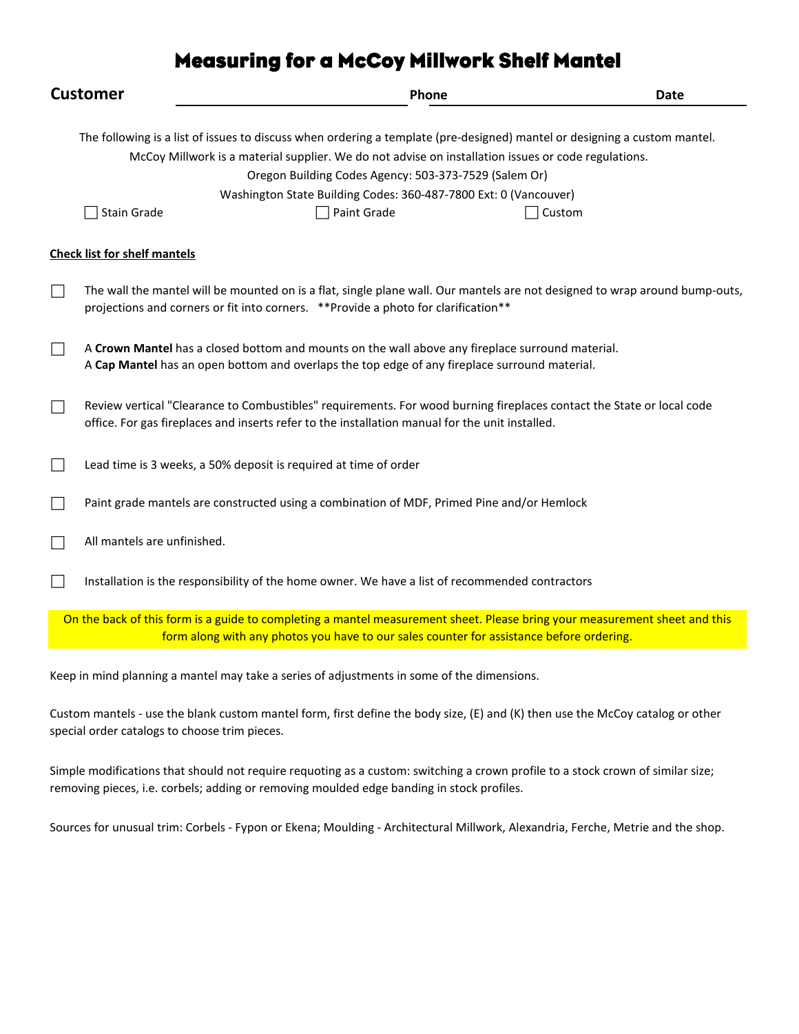# Measuring for a McCoy Millwork Shelf Mantel

| <b>Customer</b> |                                                                                                                                                                                                                                                                                                                                                                                                       |                                                                                                                                                                                                   | Phone | <b>Date</b>                                                                                                                 |
|-----------------|-------------------------------------------------------------------------------------------------------------------------------------------------------------------------------------------------------------------------------------------------------------------------------------------------------------------------------------------------------------------------------------------------------|---------------------------------------------------------------------------------------------------------------------------------------------------------------------------------------------------|-------|-----------------------------------------------------------------------------------------------------------------------------|
|                 | The following is a list of issues to discuss when ordering a template (pre-designed) mantel or designing a custom mantel.<br>McCoy Millwork is a material supplier. We do not advise on installation issues or code regulations.<br>Oregon Building Codes Agency: 503-373-7529 (Salem Or)<br>Washington State Building Codes: 360-487-7800 Ext: 0 (Vancouver)<br>Stain Grade<br>Paint Grade<br>Custom |                                                                                                                                                                                                   |       |                                                                                                                             |
|                 | <b>Check list for shelf mantels</b>                                                                                                                                                                                                                                                                                                                                                                   |                                                                                                                                                                                                   |       |                                                                                                                             |
|                 |                                                                                                                                                                                                                                                                                                                                                                                                       | projections and corners or fit into corners. ** Provide a photo for clarification**                                                                                                               |       | The wall the mantel will be mounted on is a flat, single plane wall. Our mantels are not designed to wrap around bump-outs, |
|                 |                                                                                                                                                                                                                                                                                                                                                                                                       | A Crown Mantel has a closed bottom and mounts on the wall above any fireplace surround material.<br>A Cap Mantel has an open bottom and overlaps the top edge of any fireplace surround material. |       |                                                                                                                             |
|                 |                                                                                                                                                                                                                                                                                                                                                                                                       | office. For gas fireplaces and inserts refer to the installation manual for the unit installed.                                                                                                   |       | Review vertical "Clearance to Combustibles" requirements. For wood burning fireplaces contact the State or local code       |
|                 |                                                                                                                                                                                                                                                                                                                                                                                                       | Lead time is 3 weeks, a 50% deposit is required at time of order                                                                                                                                  |       |                                                                                                                             |
|                 |                                                                                                                                                                                                                                                                                                                                                                                                       | Paint grade mantels are constructed using a combination of MDF, Primed Pine and/or Hemlock                                                                                                        |       |                                                                                                                             |
|                 | All mantels are unfinished.                                                                                                                                                                                                                                                                                                                                                                           |                                                                                                                                                                                                   |       |                                                                                                                             |
|                 |                                                                                                                                                                                                                                                                                                                                                                                                       | Installation is the responsibility of the home owner. We have a list of recommended contractors                                                                                                   |       |                                                                                                                             |
|                 |                                                                                                                                                                                                                                                                                                                                                                                                       | form along with any photos you have to our sales counter for assistance before ordering.                                                                                                          |       | On the back of this form is a guide to completing a mantel measurement sheet. Please bring your measurement sheet and this  |
|                 |                                                                                                                                                                                                                                                                                                                                                                                                       |                                                                                                                                                                                                   |       |                                                                                                                             |

Keep in mind planning a mantel may take a series of adjustments in some of the dimensions.

Custom mantels - use the blank custom mantel form, first define the body size, (E) and (K) then use the McCoy catalog or other special order catalogs to choose trim pieces.

Simple modifications that should not require requoting as a custom: switching a crown profile to a stock crown of similar size; removing pieces, i.e. corbels; adding or removing moulded edge banding in stock profiles.

Sources for unusual trim: Corbels - Fypon or Ekena; Moulding - Architectural Millwork, Alexandria, Ferche, Metrie and the shop.